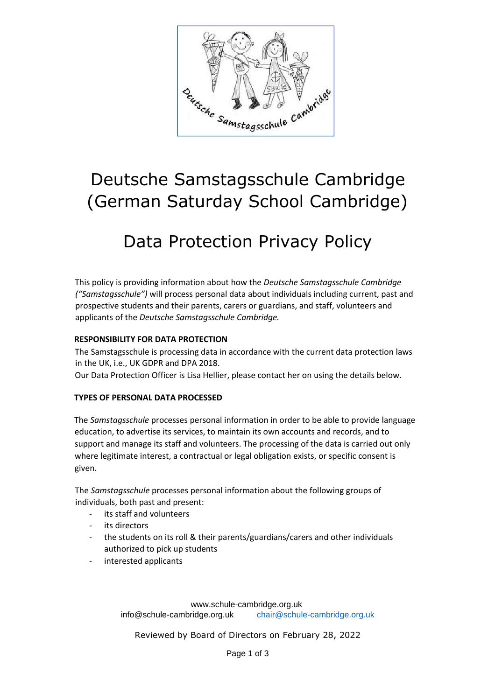

# Deutsche Samstagsschule Cambridge (German Saturday School Cambridge)

# Data Protection Privacy Policy

This policy is providing information about how the *Deutsche Samstagsschule Cambridge ("Samstagsschule")* will process personal data about individuals including current, past and prospective students and their parents, carers or guardians, and staff, volunteers and applicants of the *Deutsche Samstagsschule Cambridge.* 

## **RESPONSIBILITY FOR DATA PROTECTION**

The Samstagsschule is processing data in accordance with the current data protection laws in the UK, i.e., UK GDPR and DPA 2018.

Our Data Protection Officer is Lisa Hellier, please contact her on using the details below.

## **TYPES OF PERSONAL DATA PROCESSED**

The *Samstagsschule* processes personal information in order to be able to provide language education, to advertise its services, to maintain its own accounts and records, and to support and manage its staff and volunteers. The processing of the data is carried out only where legitimate interest, a contractual or legal obligation exists, or specific consent is given.

The *Samstagsschule* processes personal information about the following groups of individuals, both past and present:

- its staff and volunteers
- its directors
- the students on its roll & their parents/guardians/carers and other individuals authorized to pick up students
- interested applicants

www.schule-cambridge.org.uk info@schule-cambridge.org.uk chair@schule-cambridge.org.uk

Reviewed by Board of Directors on February 28, 2022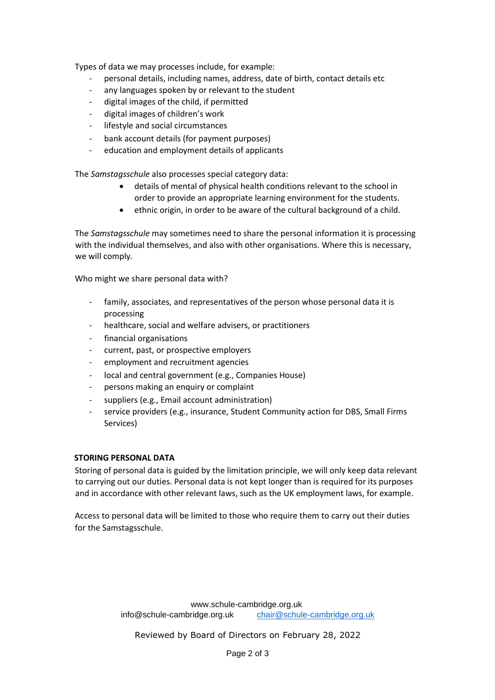Types of data we may processes include, for example:

- personal details, including names, address, date of birth, contact details etc
- any languages spoken by or relevant to the student
- digital images of the child, if permitted
- digital images of children's work
- lifestyle and social circumstances
- bank account details (for payment purposes)
- education and employment details of applicants

The *Samstagsschule* also processes special category data:

- details of mental of physical health conditions relevant to the school in order to provide an appropriate learning environment for the students.
- ethnic origin, in order to be aware of the cultural background of a child.

The *Samstagsschule* may sometimes need to share the personal information it is processing with the individual themselves, and also with other organisations. Where this is necessary, we will comply*.*

Who might we share personal data with?

- family, associates, and representatives of the person whose personal data it is processing
- healthcare, social and welfare advisers, or practitioners
- financial organisations
- current, past, or prospective employers
- employment and recruitment agencies
- local and central government (e.g., Companies House)
- persons making an enquiry or complaint
- suppliers (e.g., Email account administration)
- service providers (e.g., insurance, Student Community action for DBS, Small Firms Services)

#### **STORING PERSONAL DATA**

Storing of personal data is guided by the limitation principle, we will only keep data relevant to carrying out our duties. Personal data is not kept longer than is required for its purposes and in accordance with other relevant laws, such as the UK employment laws, for example.

Access to personal data will be limited to those who require them to carry out their duties for the Samstagsschule.

Reviewed by Board of Directors on February 28, 2022